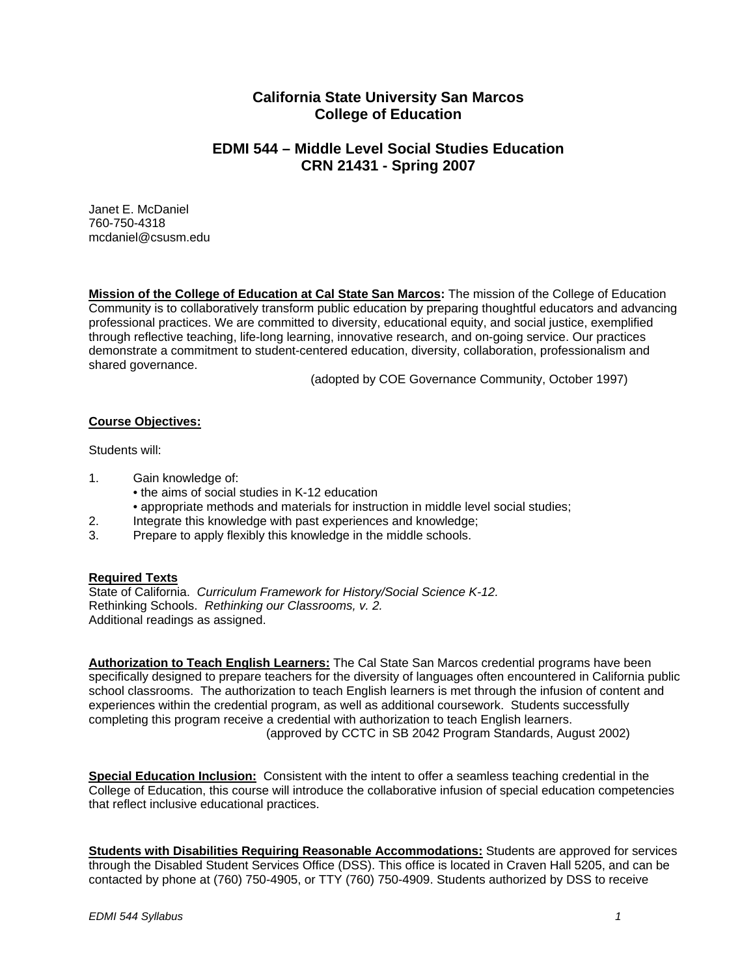# **California State University San Marcos College of Education**

# **EDMI 544 – Middle Level Social Studies Education CRN 21431 - Spring 2007**

Janet E. McDaniel 760-750-4318 mcdaniel@csusm.edu

**Mission of the College of Education at Cal State San Marcos:** The mission of the College of Education Community is to collaboratively transform public education by preparing thoughtful educators and advancing professional practices. We are committed to diversity, educational equity, and social justice, exemplified through reflective teaching, life-long learning, innovative research, and on-going service. Our practices demonstrate a commitment to student-centered education, diversity, collaboration, professionalism and shared governance.

(adopted by COE Governance Community, October 1997)

### **Course Objectives:**

Students will:

- 1. Gain knowledge of:
	- the aims of social studies in K-12 education
	- appropriate methods and materials for instruction in middle level social studies;
- 2. Integrate this knowledge with past experiences and knowledge;
- 3. Prepare to apply flexibly this knowledge in the middle schools.

### **Required Texts**

State of California. *Curriculum Framework for History/Social Science K-12.*  Rethinking Schools. *Rethinking our Classrooms, v. 2.* Additional readings as assigned.

**Authorization to Teach English Learners:** The Cal State San Marcos credential programs have been specifically designed to prepare teachers for the diversity of languages often encountered in California public school classrooms. The authorization to teach English learners is met through the infusion of content and experiences within the credential program, as well as additional coursework. Students successfully completing this program receive a credential with authorization to teach English learners. (approved by CCTC in SB 2042 Program Standards, August 2002)

**Special Education Inclusion:** Consistent with the intent to offer a seamless teaching credential in the College of Education, this course will introduce the collaborative infusion of special education competencies that reflect inclusive educational practices.

**Students with Disabilities Requiring Reasonable Accommodations:** Students are approved for services through the Disabled Student Services Office (DSS). This office is located in Craven Hall 5205, and can be contacted by phone at (760) 750-4905, or TTY (760) 750-4909. Students authorized by DSS to receive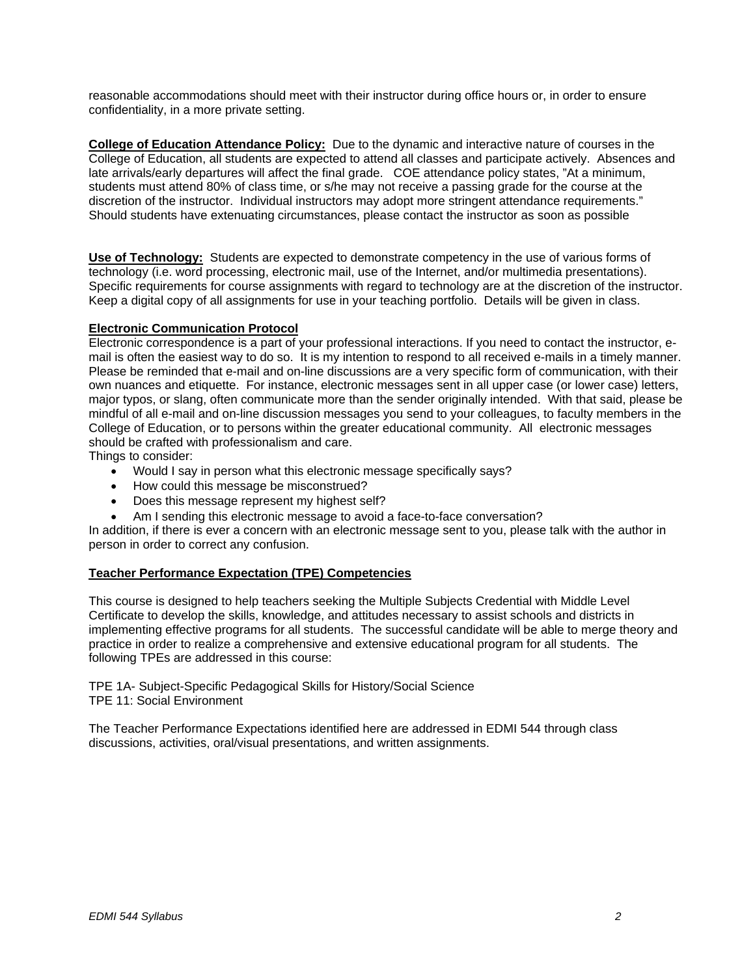reasonable accommodations should meet with their instructor during office hours or, in order to ensure confidentiality, in a more private setting.

**College of Education Attendance Policy:** Due to the dynamic and interactive nature of courses in the College of Education, all students are expected to attend all classes and participate actively. Absences and late arrivals/early departures will affect the final grade. COE attendance policy states, "At a minimum, students must attend 80% of class time, or s/he may not receive a passing grade for the course at the discretion of the instructor. Individual instructors may adopt more stringent attendance requirements." Should students have extenuating circumstances, please contact the instructor as soon as possible

**Use of Technology:** Students are expected to demonstrate competency in the use of various forms of technology (i.e. word processing, electronic mail, use of the Internet, and/or multimedia presentations). Specific requirements for course assignments with regard to technology are at the discretion of the instructor. Keep a digital copy of all assignments for use in your teaching portfolio. Details will be given in class.

# **Electronic Communication Protocol**

Electronic correspondence is a part of your professional interactions. If you need to contact the instructor, email is often the easiest way to do so. It is my intention to respond to all received e-mails in a timely manner. Please be reminded that e-mail and on-line discussions are a very specific form of communication, with their own nuances and etiquette. For instance, electronic messages sent in all upper case (or lower case) letters, major typos, or slang, often communicate more than the sender originally intended. With that said, please be mindful of all e-mail and on-line discussion messages you send to your colleagues, to faculty members in the College of Education, or to persons within the greater educational community. All electronic messages should be crafted with professionalism and care.

Things to consider:

- Would I say in person what this electronic message specifically says?
- How could this message be misconstrued?
- Does this message represent my highest self?
- Am I sending this electronic message to avoid a face-to-face conversation?

In addition, if there is ever a concern with an electronic message sent to you, please talk with the author in person in order to correct any confusion.

# **Teacher Performance Expectation (TPE) Competencies**

This course is designed to help teachers seeking the Multiple Subjects Credential with Middle Level Certificate to develop the skills, knowledge, and attitudes necessary to assist schools and districts in implementing effective programs for all students. The successful candidate will be able to merge theory and practice in order to realize a comprehensive and extensive educational program for all students. The following TPEs are addressed in this course:

TPE 1A- Subject-Specific Pedagogical Skills for History/Social Science TPE 11: Social Environment

The Teacher Performance Expectations identified here are addressed in EDMI 544 through class discussions, activities, oral/visual presentations, and written assignments.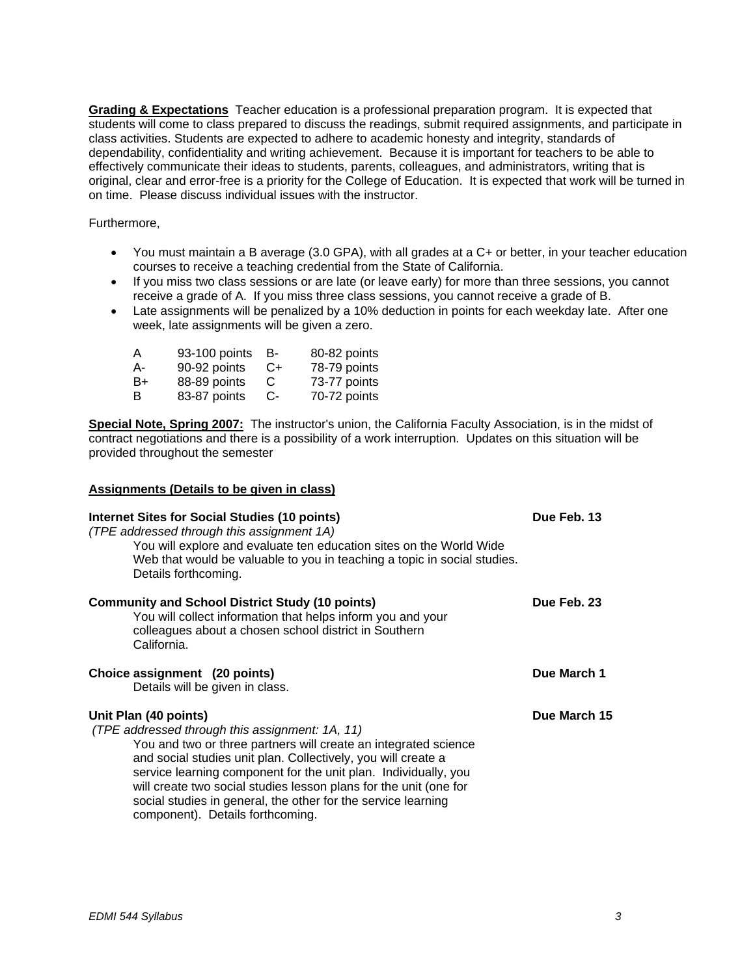**Grading & Expectations** Teacher education is a professional preparation program. It is expected that students will come to class prepared to discuss the readings, submit required assignments, and participate in class activities. Students are expected to adhere to academic honesty and integrity, standards of dependability, confidentiality and writing achievement. Because it is important for teachers to be able to effectively communicate their ideas to students, parents, colleagues, and administrators, writing that is original, clear and error-free is a priority for the College of Education. It is expected that work will be turned in on time. Please discuss individual issues with the instructor.

Furthermore,

- You must maintain a B average (3.0 GPA), with all grades at a C+ or better, in your teacher education courses to receive a teaching credential from the State of California.
- If you miss two class sessions or are late (or leave early) for more than three sessions, you cannot receive a grade of A. If you miss three class sessions, you cannot receive a grade of B.
- Late assignments will be penalized by a 10% deduction in points for each weekday late. After one week, late assignments will be given a zero.

| A  | 93-100 points | в-   | 80-82 points |
|----|---------------|------|--------------|
| A- | 90-92 points  | $C+$ | 78-79 points |
| B+ | 88-89 points  | C    | 73-77 points |
| B  | 83-87 points  | $C-$ | 70-72 points |

**Special Note, Spring 2007:** The instructor's union, the California Faculty Association, is in the midst of contract negotiations and there is a possibility of a work interruption. Updates on this situation will be provided throughout the semester

### **Assignments (Details to be given in class)**

| Internet Sites for Social Studies (10 points)<br>(TPE addressed through this assignment 1A)<br>You will explore and evaluate ten education sites on the World Wide<br>Web that would be valuable to you in teaching a topic in social studies.<br>Details forthcoming.                                                                                                                                                                                    | Due Feb. 13  |
|-----------------------------------------------------------------------------------------------------------------------------------------------------------------------------------------------------------------------------------------------------------------------------------------------------------------------------------------------------------------------------------------------------------------------------------------------------------|--------------|
| <b>Community and School District Study (10 points)</b><br>You will collect information that helps inform you and your<br>colleagues about a chosen school district in Southern<br>California.                                                                                                                                                                                                                                                             | Due Feb. 23  |
| Choice assignment (20 points)<br>Details will be given in class.                                                                                                                                                                                                                                                                                                                                                                                          | Due March 1  |
| Unit Plan (40 points)<br>(TPE addressed through this assignment: 1A, 11)<br>You and two or three partners will create an integrated science<br>and social studies unit plan. Collectively, you will create a<br>service learning component for the unit plan. Individually, you<br>will create two social studies lesson plans for the unit (one for<br>social studies in general, the other for the service learning<br>component). Details forthcoming. | Due March 15 |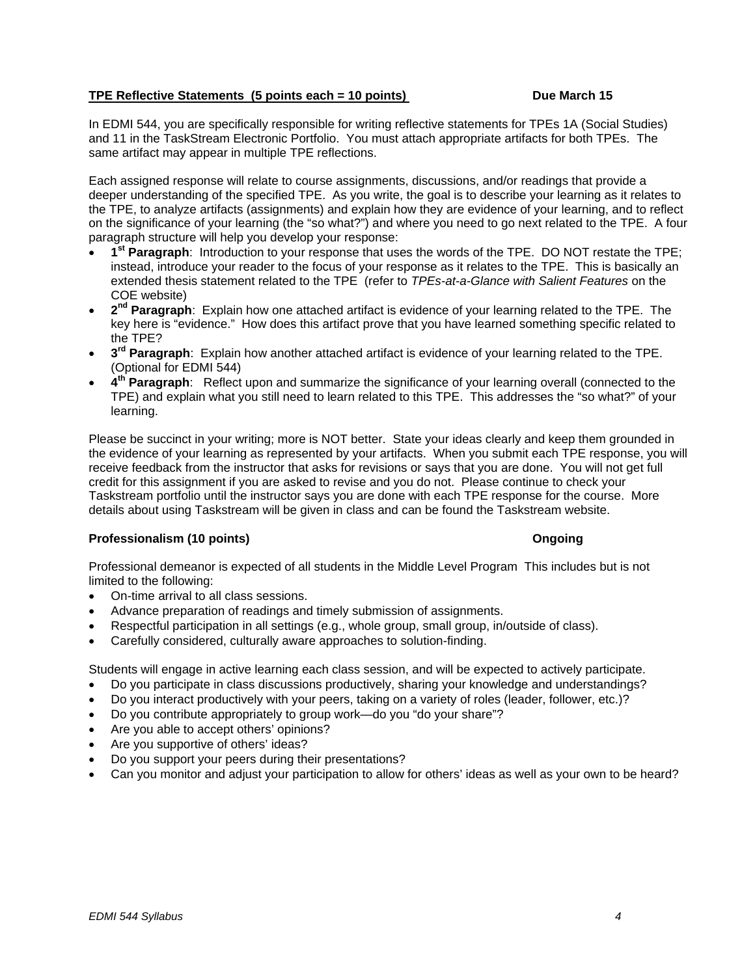# **TPE Reflective Statements (5 points each = 10 points)** Due March 15

In EDMI 544, you are specifically responsible for writing reflective statements for TPEs 1A (Social Studies) and 11 in the TaskStream Electronic Portfolio. You must attach appropriate artifacts for both TPEs. The same artifact may appear in multiple TPE reflections.

Each assigned response will relate to course assignments, discussions, and/or readings that provide a deeper understanding of the specified TPE. As you write, the goal is to describe your learning as it relates to the TPE, to analyze artifacts (assignments) and explain how they are evidence of your learning, and to reflect on the significance of your learning (the "so what?") and where you need to go next related to the TPE. A four paragraph structure will help you develop your response:

- **1st Paragraph**: Introduction to your response that uses the words of the TPE. DO NOT restate the TPE; instead, introduce your reader to the focus of your response as it relates to the TPE. This is basically an extended thesis statement related to the TPE (refer to *TPEs-at-a-Glance with Salient Features* on the COE website)
- **2nd Paragraph**: Explain how one attached artifact is evidence of your learning related to the TPE. The key here is "evidence." How does this artifact prove that you have learned something specific related to the TPE?
- **3rd Paragraph**: Explain how another attached artifact is evidence of your learning related to the TPE. (Optional for EDMI 544)
- **4th Paragraph**: Reflect upon and summarize the significance of your learning overall (connected to the TPE) and explain what you still need to learn related to this TPE. This addresses the "so what?" of your learning.

Please be succinct in your writing; more is NOT better. State your ideas clearly and keep them grounded in the evidence of your learning as represented by your artifacts. When you submit each TPE response, you will receive feedback from the instructor that asks for revisions or says that you are done. You will not get full credit for this assignment if you are asked to revise and you do not. Please continue to check your Taskstream portfolio until the instructor says you are done with each TPE response for the course. More details about using Taskstream will be given in class and can be found the Taskstream website.

### **Professionalism (10 points) Community Ongoing Ongoing**

Professional demeanor is expected of all students in the Middle Level Program This includes but is not limited to the following:

- On-time arrival to all class sessions.
- Advance preparation of readings and timely submission of assignments.
- Respectful participation in all settings (e.g., whole group, small group, in/outside of class).
- Carefully considered, culturally aware approaches to solution-finding.

Students will engage in active learning each class session, and will be expected to actively participate.

- Do you participate in class discussions productively, sharing your knowledge and understandings?
- Do you interact productively with your peers, taking on a variety of roles (leader, follower, etc.)?
- Do you contribute appropriately to group work—do you "do your share"?
- Are you able to accept others' opinions?
- Are you supportive of others' ideas?
- Do you support your peers during their presentations?
- Can you monitor and adjust your participation to allow for others' ideas as well as your own to be heard?